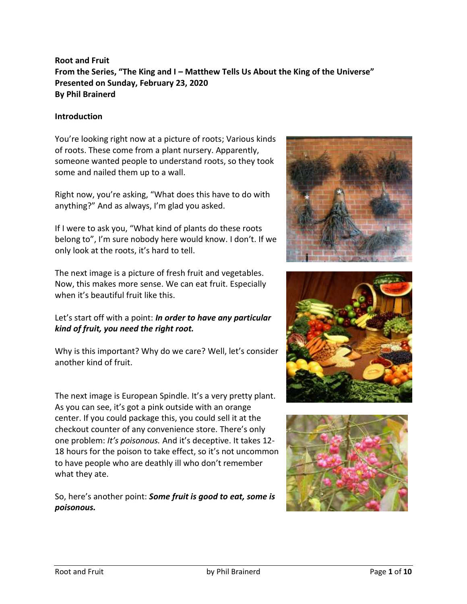# **Root and Fruit From the Series, "The King and I – Matthew Tells Us About the King of the Universe" Presented on Sunday, February 23, 2020 By Phil Brainerd**

#### **Introduction**

You're looking right now at a picture of roots; Various kinds of roots. These come from a plant nursery. Apparently, someone wanted people to understand roots, so they took some and nailed them up to a wall.

Right now, you're asking, "What does this have to do with anything?" And as always, I'm glad you asked.

If I were to ask you, "What kind of plants do these roots belong to", I'm sure nobody here would know. I don't. If we only look at the roots, it's hard to tell.

The next image is a picture of fresh fruit and vegetables. Now, this makes more sense. We can eat fruit. Especially when it's beautiful fruit like this.

## Let's start off with a point: *In order to have any particular kind of fruit, you need the right root.*

Why is this important? Why do we care? Well, let's consider another kind of fruit.

The next image is European Spindle. It's a very pretty plant. As you can see, it's got a pink outside with an orange center. If you could package this, you could sell it at the checkout counter of any convenience store. There's only one problem: *It's poisonous.* And it's deceptive. It takes 12- 18 hours for the poison to take effect, so it's not uncommon to have people who are deathly ill who don't remember what they ate.

So, here's another point: *Some fruit is good to eat, some is poisonous.*





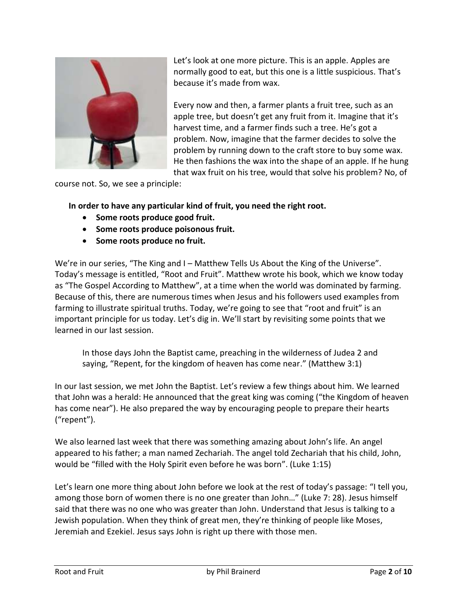

Let's look at one more picture. This is an apple. Apples are normally good to eat, but this one is a little suspicious. That's because it's made from wax.

Every now and then, a farmer plants a fruit tree, such as an apple tree, but doesn't get any fruit from it. Imagine that it's harvest time, and a farmer finds such a tree. He's got a problem. Now, imagine that the farmer decides to solve the problem by running down to the craft store to buy some wax. He then fashions the wax into the shape of an apple. If he hung that wax fruit on his tree, would that solve his problem? No, of

course not. So, we see a principle:

**In order to have any particular kind of fruit, you need the right root.**

- **Some roots produce good fruit.**
- **Some roots produce poisonous fruit.**
- **Some roots produce no fruit.**

We're in our series, "The King and I – Matthew Tells Us About the King of the Universe". Today's message is entitled, "Root and Fruit". Matthew wrote his book, which we know today as "The Gospel According to Matthew", at a time when the world was dominated by farming. Because of this, there are numerous times when Jesus and his followers used examples from farming to illustrate spiritual truths. Today, we're going to see that "root and fruit" is an important principle for us today. Let's dig in. We'll start by revisiting some points that we learned in our last session.

In those days John the Baptist came, preaching in the wilderness of Judea 2 and saying, "Repent, for the kingdom of heaven has come near." (Matthew 3:1)

In our last session, we met John the Baptist. Let's review a few things about him. We learned that John was a herald: He announced that the great king was coming ("the Kingdom of heaven has come near"). He also prepared the way by encouraging people to prepare their hearts ("repent").

We also learned last week that there was something amazing about John's life. An angel appeared to his father; a man named Zechariah. The angel told Zechariah that his child, John, would be "filled with the Holy Spirit even before he was born". (Luke 1:15)

Let's learn one more thing about John before we look at the rest of today's passage: "I tell you, among those born of women there is no one greater than John…" (Luke 7: 28). Jesus himself said that there was no one who was greater than John. Understand that Jesus is talking to a Jewish population. When they think of great men, they're thinking of people like Moses, Jeremiah and Ezekiel. Jesus says John is right up there with those men.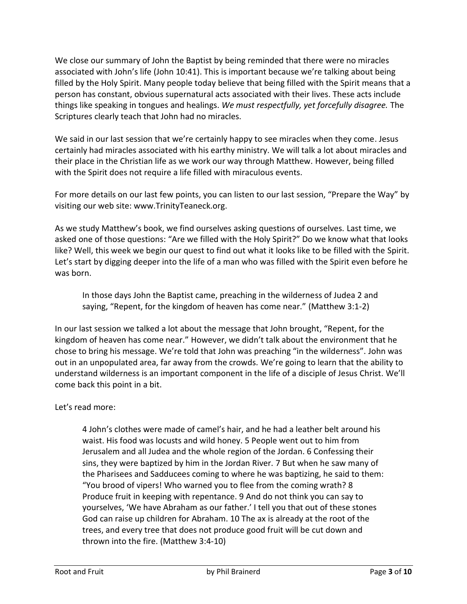We close our summary of John the Baptist by being reminded that there were no miracles associated with John's life (John 10:41). This is important because we're talking about being filled by the Holy Spirit. Many people today believe that being filled with the Spirit means that a person has constant, obvious supernatural acts associated with their lives. These acts include things like speaking in tongues and healings. *We must respectfully, yet forcefully disagree.* The Scriptures clearly teach that John had no miracles.

We said in our last session that we're certainly happy to see miracles when they come. Jesus certainly had miracles associated with his earthy ministry. We will talk a lot about miracles and their place in the Christian life as we work our way through Matthew. However, being filled with the Spirit does not require a life filled with miraculous events.

For more details on our last few points, you can listen to our last session, "Prepare the Way" by visiting our web site: www.TrinityTeaneck.org.

As we study Matthew's book, we find ourselves asking questions of ourselves. Last time, we asked one of those questions: "Are we filled with the Holy Spirit?" Do we know what that looks like? Well, this week we begin our quest to find out what it looks like to be filled with the Spirit. Let's start by digging deeper into the life of a man who was filled with the Spirit even before he was born.

In those days John the Baptist came, preaching in the wilderness of Judea 2 and saying, "Repent, for the kingdom of heaven has come near." (Matthew 3:1-2)

In our last session we talked a lot about the message that John brought, "Repent, for the kingdom of heaven has come near." However, we didn't talk about the environment that he chose to bring his message. We're told that John was preaching "in the wilderness". John was out in an unpopulated area, far away from the crowds. We're going to learn that the ability to understand wilderness is an important component in the life of a disciple of Jesus Christ. We'll come back this point in a bit.

## Let's read more:

4 John's clothes were made of camel's hair, and he had a leather belt around his waist. His food was locusts and wild honey. 5 People went out to him from Jerusalem and all Judea and the whole region of the Jordan. 6 Confessing their sins, they were baptized by him in the Jordan River. 7 But when he saw many of the Pharisees and Sadducees coming to where he was baptizing, he said to them: "You brood of vipers! Who warned you to flee from the coming wrath? 8 Produce fruit in keeping with repentance. 9 And do not think you can say to yourselves, 'We have Abraham as our father.' I tell you that out of these stones God can raise up children for Abraham. 10 The ax is already at the root of the trees, and every tree that does not produce good fruit will be cut down and thrown into the fire. (Matthew 3:4-10)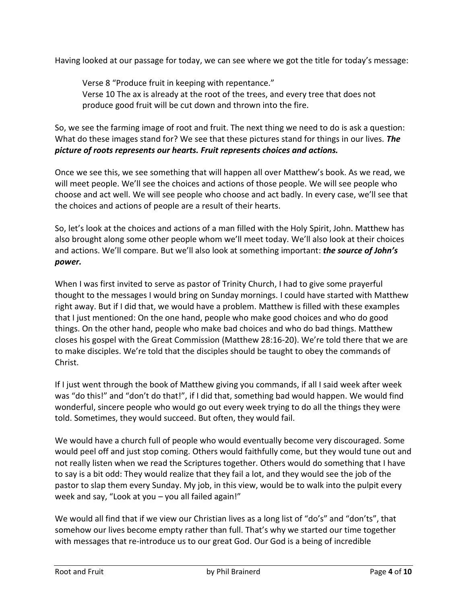Having looked at our passage for today, we can see where we got the title for today's message:

Verse 8 "Produce fruit in keeping with repentance." Verse 10 The ax is already at the root of the trees, and every tree that does not produce good fruit will be cut down and thrown into the fire.

So, we see the farming image of root and fruit. The next thing we need to do is ask a question: What do these images stand for? We see that these pictures stand for things in our lives. *The picture of roots represents our hearts. Fruit represents choices and actions.* 

Once we see this, we see something that will happen all over Matthew's book. As we read, we will meet people. We'll see the choices and actions of those people. We will see people who choose and act well. We will see people who choose and act badly. In every case, we'll see that the choices and actions of people are a result of their hearts.

So, let's look at the choices and actions of a man filled with the Holy Spirit, John. Matthew has also brought along some other people whom we'll meet today. We'll also look at their choices and actions. We'll compare. But we'll also look at something important: *the source of John's power.*

When I was first invited to serve as pastor of Trinity Church, I had to give some prayerful thought to the messages I would bring on Sunday mornings. I could have started with Matthew right away. But if I did that, we would have a problem. Matthew is filled with these examples that I just mentioned: On the one hand, people who make good choices and who do good things. On the other hand, people who make bad choices and who do bad things. Matthew closes his gospel with the Great Commission (Matthew 28:16-20). We're told there that we are to make disciples. We're told that the disciples should be taught to obey the commands of Christ.

If I just went through the book of Matthew giving you commands, if all I said week after week was "do this!" and "don't do that!", if I did that, something bad would happen. We would find wonderful, sincere people who would go out every week trying to do all the things they were told. Sometimes, they would succeed. But often, they would fail.

We would have a church full of people who would eventually become very discouraged. Some would peel off and just stop coming. Others would faithfully come, but they would tune out and not really listen when we read the Scriptures together. Others would do something that I have to say is a bit odd: They would realize that they fail a lot, and they would see the job of the pastor to slap them every Sunday. My job, in this view, would be to walk into the pulpit every week and say, "Look at you – you all failed again!"

We would all find that if we view our Christian lives as a long list of "do's" and "don'ts", that somehow our lives become empty rather than full. That's why we started our time together with messages that re-introduce us to our great God. Our God is a being of incredible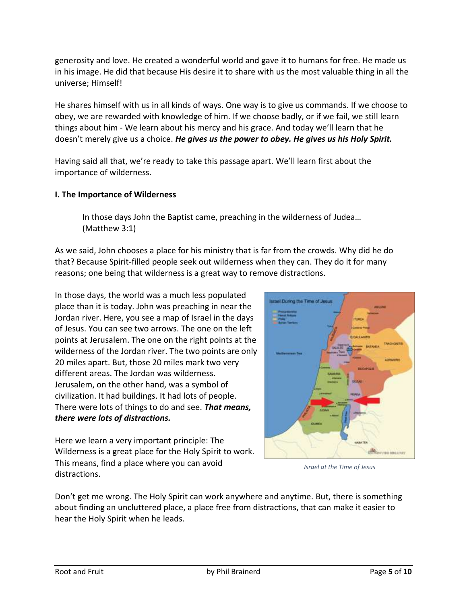generosity and love. He created a wonderful world and gave it to humans for free. He made us in his image. He did that because His desire it to share with us the most valuable thing in all the universe; Himself!

He shares himself with us in all kinds of ways. One way is to give us commands. If we choose to obey, we are rewarded with knowledge of him. If we choose badly, or if we fail, we still learn things about him - We learn about his mercy and his grace. And today we'll learn that he doesn't merely give us a choice. *He gives us the power to obey. He gives us his Holy Spirit.*

Having said all that, we're ready to take this passage apart. We'll learn first about the importance of wilderness.

#### **I. The Importance of Wilderness**

In those days John the Baptist came, preaching in the wilderness of Judea… (Matthew 3:1)

As we said, John chooses a place for his ministry that is far from the crowds. Why did he do that? Because Spirit-filled people seek out wilderness when they can. They do it for many reasons; one being that wilderness is a great way to remove distractions.

In those days, the world was a much less populated place than it is today. John was preaching in near the Jordan river. Here, you see a map of Israel in the days of Jesus. You can see two arrows. The one on the left points at Jerusalem. The one on the right points at the wilderness of the Jordan river. The two points are only 20 miles apart. But, those 20 miles mark two very different areas. The Jordan was wilderness. Jerusalem, on the other hand, was a symbol of civilization. It had buildings. It had lots of people. There were lots of things to do and see. *That means, there were lots of distractions.*

Here we learn a very important principle: The Wilderness is a great place for the Holy Spirit to work. This means, find a place where you can avoid distractions.



*Israel at the Time of Jesus*

Don't get me wrong. The Holy Spirit can work anywhere and anytime. But, there is something about finding an uncluttered place, a place free from distractions, that can make it easier to hear the Holy Spirit when he leads.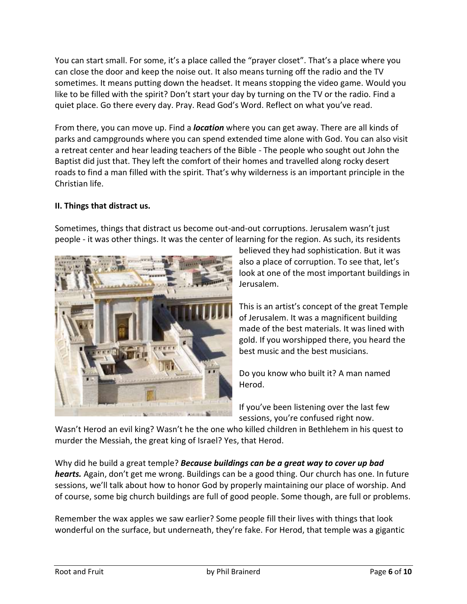You can start small. For some, it's a place called the "prayer closet". That's a place where you can close the door and keep the noise out. It also means turning off the radio and the TV sometimes. It means putting down the headset. It means stopping the video game. Would you like to be filled with the spirit? Don't start your day by turning on the TV or the radio. Find a quiet place. Go there every day. Pray. Read God's Word. Reflect on what you've read.

From there, you can move up. Find a *location* where you can get away. There are all kinds of parks and campgrounds where you can spend extended time alone with God. You can also visit a retreat center and hear leading teachers of the Bible - The people who sought out John the Baptist did just that. They left the comfort of their homes and travelled along rocky desert roads to find a man filled with the spirit. That's why wilderness is an important principle in the Christian life.

## **II. Things that distract us.**



Sometimes, things that distract us become out-and-out corruptions. Jerusalem wasn't just people - it was other things. It was the center of learning for the region. As such, its residents

believed they had sophistication. But it was also a place of corruption. To see that, let's look at one of the most important buildings in Jerusalem.

This is an artist's concept of the great Temple of Jerusalem. It was a magnificent building made of the best materials. It was lined with gold. If you worshipped there, you heard the best music and the best musicians.

Do you know who built it? A man named Herod.

If you've been listening over the last few sessions, you're confused right now.

Wasn't Herod an evil king? Wasn't he the one who killed children in Bethlehem in his quest to murder the Messiah, the great king of Israel? Yes, that Herod.

Why did he build a great temple? *Because buildings can be a great way to cover up bad hearts.* Again, don't get me wrong. Buildings can be a good thing. Our church has one. In future sessions, we'll talk about how to honor God by properly maintaining our place of worship. And of course, some big church buildings are full of good people. Some though, are full or problems.

Remember the wax apples we saw earlier? Some people fill their lives with things that look wonderful on the surface, but underneath, they're fake. For Herod, that temple was a gigantic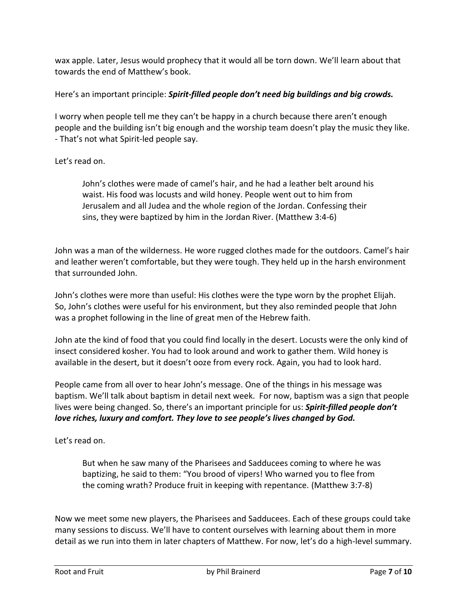wax apple. Later, Jesus would prophecy that it would all be torn down. We'll learn about that towards the end of Matthew's book.

Here's an important principle: *Spirit-filled people don't need big buildings and big crowds.*

I worry when people tell me they can't be happy in a church because there aren't enough people and the building isn't big enough and the worship team doesn't play the music they like. - That's not what Spirit-led people say.

#### Let's read on.

John's clothes were made of camel's hair, and he had a leather belt around his waist. His food was locusts and wild honey. People went out to him from Jerusalem and all Judea and the whole region of the Jordan. Confessing their sins, they were baptized by him in the Jordan River. (Matthew 3:4-6)

John was a man of the wilderness. He wore rugged clothes made for the outdoors. Camel's hair and leather weren't comfortable, but they were tough. They held up in the harsh environment that surrounded John.

John's clothes were more than useful: His clothes were the type worn by the prophet Elijah. So, John's clothes were useful for his environment, but they also reminded people that John was a prophet following in the line of great men of the Hebrew faith.

John ate the kind of food that you could find locally in the desert. Locusts were the only kind of insect considered kosher. You had to look around and work to gather them. Wild honey is available in the desert, but it doesn't ooze from every rock. Again, you had to look hard.

People came from all over to hear John's message. One of the things in his message was baptism. We'll talk about baptism in detail next week. For now, baptism was a sign that people lives were being changed. So, there's an important principle for us: *Spirit-filled people don't love riches, luxury and comfort. They love to see people's lives changed by God.*

Let's read on.

But when he saw many of the Pharisees and Sadducees coming to where he was baptizing, he said to them: "You brood of vipers! Who warned you to flee from the coming wrath? Produce fruit in keeping with repentance. (Matthew 3:7-8)

Now we meet some new players, the Pharisees and Sadducees. Each of these groups could take many sessions to discuss. We'll have to content ourselves with learning about them in more detail as we run into them in later chapters of Matthew. For now, let's do a high-level summary.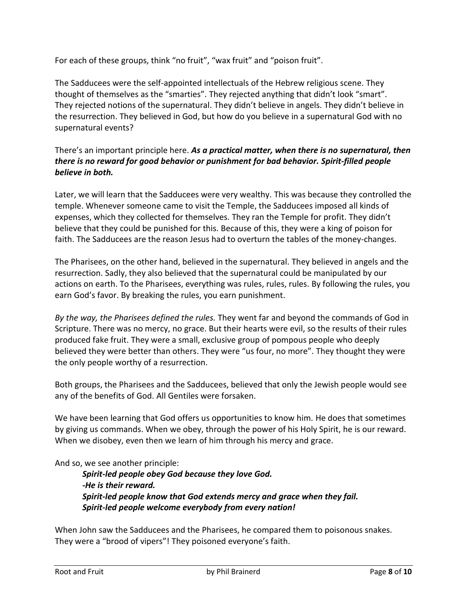For each of these groups, think "no fruit", "wax fruit" and "poison fruit".

The Sadducees were the self-appointed intellectuals of the Hebrew religious scene. They thought of themselves as the "smarties". They rejected anything that didn't look "smart". They rejected notions of the supernatural. They didn't believe in angels. They didn't believe in the resurrection. They believed in God, but how do you believe in a supernatural God with no supernatural events?

## There's an important principle here. *As a practical matter, when there is no supernatural, then there is no reward for good behavior or punishment for bad behavior. Spirit-filled people believe in both.*

Later, we will learn that the Sadducees were very wealthy. This was because they controlled the temple. Whenever someone came to visit the Temple, the Sadducees imposed all kinds of expenses, which they collected for themselves. They ran the Temple for profit. They didn't believe that they could be punished for this. Because of this, they were a king of poison for faith. The Sadducees are the reason Jesus had to overturn the tables of the money-changes.

The Pharisees, on the other hand, believed in the supernatural. They believed in angels and the resurrection. Sadly, they also believed that the supernatural could be manipulated by our actions on earth. To the Pharisees, everything was rules, rules, rules. By following the rules, you earn God's favor. By breaking the rules, you earn punishment.

*By the way, the Pharisees defined the rules.* They went far and beyond the commands of God in Scripture. There was no mercy, no grace. But their hearts were evil, so the results of their rules produced fake fruit. They were a small, exclusive group of pompous people who deeply believed they were better than others. They were "us four, no more". They thought they were the only people worthy of a resurrection.

Both groups, the Pharisees and the Sadducees, believed that only the Jewish people would see any of the benefits of God. All Gentiles were forsaken.

We have been learning that God offers us opportunities to know him. He does that sometimes by giving us commands. When we obey, through the power of his Holy Spirit, he is our reward. When we disobey, even then we learn of him through his mercy and grace.

And so, we see another principle:

*Spirit-led people obey God because they love God. -He is their reward. Spirit-led people know that God extends mercy and grace when they fail. Spirit-led people welcome everybody from every nation!*

When John saw the Sadducees and the Pharisees, he compared them to poisonous snakes. They were a "brood of vipers"! They poisoned everyone's faith.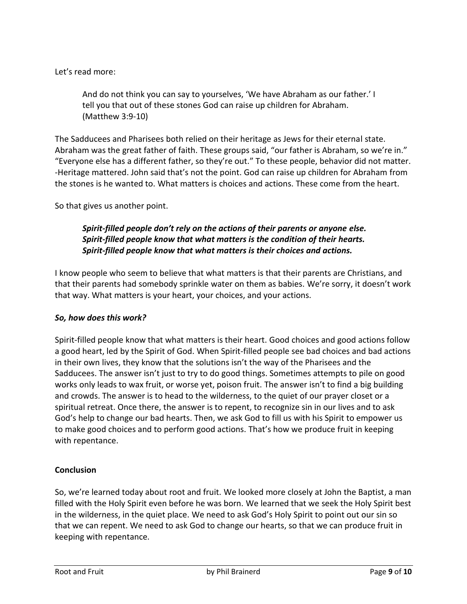Let's read more:

And do not think you can say to yourselves, 'We have Abraham as our father.' I tell you that out of these stones God can raise up children for Abraham. (Matthew 3:9-10)

The Sadducees and Pharisees both relied on their heritage as Jews for their eternal state. Abraham was the great father of faith. These groups said, "our father is Abraham, so we're in." "Everyone else has a different father, so they're out." To these people, behavior did not matter. -Heritage mattered. John said that's not the point. God can raise up children for Abraham from the stones is he wanted to. What matters is choices and actions. These come from the heart.

So that gives us another point.

## *Spirit-filled people don't rely on the actions of their parents or anyone else. Spirit-filled people know that what matters is the condition of their hearts. Spirit-filled people know that what matters is their choices and actions.*

I know people who seem to believe that what matters is that their parents are Christians, and that their parents had somebody sprinkle water on them as babies. We're sorry, it doesn't work that way. What matters is your heart, your choices, and your actions.

#### *So, how does this work?*

Spirit-filled people know that what matters is their heart. Good choices and good actions follow a good heart, led by the Spirit of God. When Spirit-filled people see bad choices and bad actions in their own lives, they know that the solutions isn't the way of the Pharisees and the Sadducees. The answer isn't just to try to do good things. Sometimes attempts to pile on good works only leads to wax fruit, or worse yet, poison fruit. The answer isn't to find a big building and crowds. The answer is to head to the wilderness, to the quiet of our prayer closet or a spiritual retreat. Once there, the answer is to repent, to recognize sin in our lives and to ask God's help to change our bad hearts. Then, we ask God to fill us with his Spirit to empower us to make good choices and to perform good actions. That's how we produce fruit in keeping with repentance.

## **Conclusion**

So, we're learned today about root and fruit. We looked more closely at John the Baptist, a man filled with the Holy Spirit even before he was born. We learned that we seek the Holy Spirit best in the wilderness, in the quiet place. We need to ask God's Holy Spirit to point out our sin so that we can repent. We need to ask God to change our hearts, so that we can produce fruit in keeping with repentance.